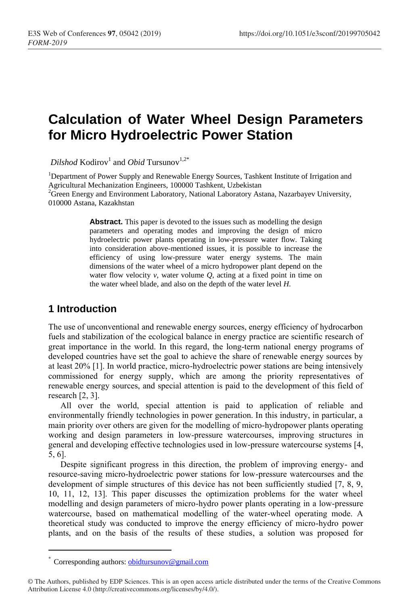# **Calculation of Water Wheel Design Parameters for Micro Hydroelectric Power Station**

 $Dilshod$  Kodirov<sup>1</sup> and *Obid* Tursunov<sup>1,2\*</sup>

<sup>1</sup>Department of Power Supply and Renewable Energy Sources, Tashkent Institute of Irrigation and Agricultural Mechanization Engineers, 100000 Tashkent, Uzbekistan

<sup>2</sup>Green Energy and Environment Laboratory, National Laboratory Astana, Nazarbayev University, 010000 Astana, Kazakhstan

> **Abstract.** This paper is devoted to the issues such as modelling the design parameters and operating modes and improving the design of micro hydroelectric power plants operating in low-pressure water flow. Taking into consideration above-mentioned issues, it is possible to increase the efficiency of using low-pressure water energy systems. The main dimensions of the water wheel of a micro hydropower plant depend on the water flow velocity *v*, water volume *Q*, acting at a fixed point in time on the water wheel blade, and also on the depth of the water level *H*.

## **1 Introduction**

 $\overline{a}$ 

The use of unconventional and renewable energy sources, energy efficiency of hydrocarbon fuels and stabilization of the ecological balance in energy practice are scientific research of great importance in the world. In this regard, the long-term national energy programs of developed countries have set the goal to achieve the share of renewable energy sources by at least 20% [1]. In world practice, micro-hydroelectric power stations are being intensively commissioned for energy supply, which are among the priority representatives of renewable energy sources, and special attention is paid to the development of this field of research [2, 3].

All over the world, special attention is paid to application of reliable and environmentally friendly technologies in power generation. In this industry, in particular, a main priority over others are given for the modelling of micro-hydropower plants operating working and design parameters in low-pressure watercourses, improving structures in general and developing effective technologies used in low-pressure watercourse systems [4, 5, 6].

Despite significant progress in this direction, the problem of improving energy- and resource-saving micro-hydroelectric power stations for low-pressure watercourses and the development of simple structures of this device has not been sufficiently studied [7, 8, 9, 10, 11, 12, 13]. This paper discusses the optimization problems for the water wheel modelling and design parameters of micro-hydro power plants operating in a low-pressure watercourse, based on mathematical modelling of the water-wheel operating mode. A theoretical study was conducted to improve the energy efficiency of micro-hydro power plants, and on the basis of the results of these studies, a solution was proposed for

Corresponding authors:  $obidtursunov@gmail.com$ 

<sup>©</sup> The Authors, published by EDP Sciences. This is an open access article distributed under the terms of the Creative Commons Attribution License 4.0 (http://creativecommons.org/licenses/by/4.0/).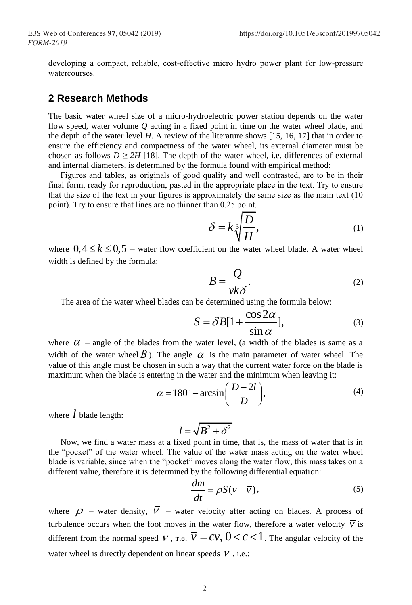developing a compact, reliable, cost-effective micro hydro power plant for low-pressure watercourses.

#### **2 Research Methods**

The basic water wheel size of a micro-hydroelectric power station depends on the water flow speed, water volume *Q* acting in a fixed point in time on the water wheel blade, and the depth of the water level *H*. A review of the literature shows [15, 16, 17] that in order to ensure the efficiency and compactness of the water wheel, its external diameter must be chosen as follows  $D \geq 2H$  [18]. The depth of the water wheel, i.e. differences of external and internal diameters, is determined by the formula found with empirical method:

Figures and tables, as originals of good quality and well contrasted, are to be in their final form, ready for reproduction, pasted in the appropriate place in the text. Try to ensure that the size of the text in your figures is approximately the same size as the main text (10 point). Try to ensure that lines are no thinner than 0.25 point.

$$
\delta = k \sqrt[3]{\frac{D}{H}},\tag{1}
$$

where  $0, 4 \leq k \leq 0, 5$  – water flow coefficient on the water wheel blade. A water wheel width is defined by the formula:

$$
B = \frac{Q}{\nu k \delta}.
$$
 (2)

The area of the water wheel blades can be determined using the formula below:  
\n
$$
S = \delta B[1 + \frac{\cos 2\alpha}{\sin \alpha}],
$$
\n(3)

where  $\alpha$  – angle of the blades from the water level, (a width of the blades is same as a width of the water wheel  $B$ ). The angle  $\alpha$  is the main parameter of water wheel. The value of this angle must be chosen in such a way that the current water force on the blade is

maximum when the blade is entering in the water and the minimum when leaving it:  
\n
$$
\alpha = 180^\circ - \arcsin\left(\frac{D-2l}{D}\right),\tag{4}
$$

where *l* blade length:

$$
l = \sqrt{B^2 + \delta^2}
$$

Now, we find a water mass at a fixed point in time, that is, the mass of water that is in the "pocket" of the water wheel. The value of the water mass acting on the water wheel blade is variable, since when the "pocket" moves along the water flow, this mass takes on a different value, therefore it is determined by the following differential equation:

$$
\frac{dm}{dt} = \rho S(v - \overline{v}),\tag{5}
$$

where  $\rho$  – water density,  $V$  – water velocity after acting on blades. A process of turbulence occurs when the foot moves in the water flow, therefore a water velocity  $\overline{v}$  is different from the normal speed  $V$ , r.e.  $\overline{V} = CV$ ,  $0 < c < 1$ . The angular velocity of the water wheel is directly dependent on linear speeds  $V$ , i.e.: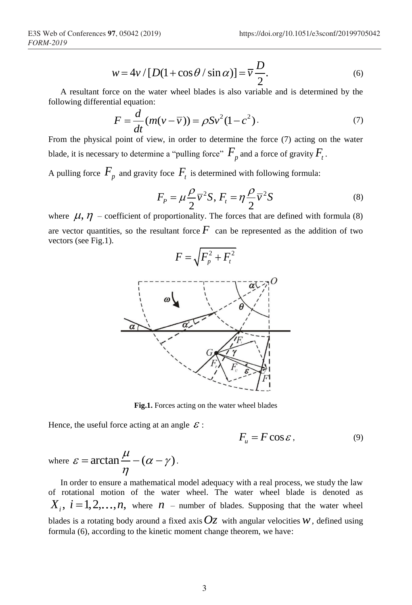$$
w = 4v / [D(1 + \cos \theta / \sin \alpha)] = \overline{v} \frac{D}{2}.
$$
 (6)

A resultant force on the water wheel blades is also variable and is determined by the following differential equation:

$$
F = \frac{d}{dt}(m(v - \overline{v})) = \rho S v^2 (1 - c^2).
$$
 (7)

From the physical point of view, in order to determine the force (7) acting on the water blade, it is necessary to determine a "pulling force"  $F_p$  and a force of gravity  $F_t$ .

A pulling force  $F_p$  and gravity foce  $F_t$  is determined with following formula:

$$
F_p = \mu \frac{\rho}{2} \overline{v}^2 S, F_t = \eta \frac{\rho}{2} \overline{v}^2 S \tag{8}
$$

where  $\mu$ ,  $\eta$  – coefficient of proportionality. The forces that are defined with formula (8) are vector quantities, so the resultant force  $F$  can be represented as the addition of two vectors (see Fig.1).



**Fig.1.** Forces acting on the water wheel blades

Hence, the useful force acting at an angle  $\mathcal{E}$ :

$$
F_u = F \cos \varepsilon, \tag{9}
$$

where 
$$
\varepsilon = \arctan \frac{\mu}{\eta} - (\alpha - \gamma)
$$
.

In order to ensure a mathematical model adequacy with a real process, we study the law of rotational motion of the water wheel. The water wheel blade is denoted as  $X_i$ ,  $i = 1,2,...,n$ , where  $n$  – number of blades. Supposing that the water wheel blades is a rotating body around a fixed axis  $Oz$  with angular velocities  $w$ , defined using formula (6), according to the kinetic moment change theorem, we have: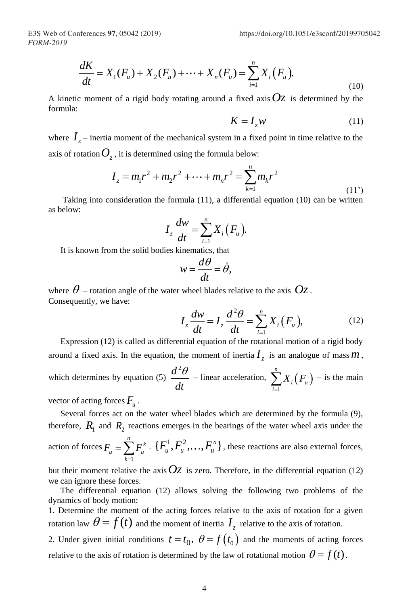$$
\frac{dK}{dt} = X_1(F_u) + X_2(F_u) + \dots + X_n(F_u) = \sum_{i=1}^n X_i(F_u).
$$
\n(10)

A kinetic moment of a rigid body rotating around a fixed axis  $Oz$  is determined by the formula:

$$
K = I_z w \tag{11}
$$

where  $I_z$  – inertia moment of the mechanical system in a fixed point in time relative to the

axis of rotation 
$$
O_z
$$
, it is determined using the formula below:  
\n
$$
I_z = m_1 r^2 + m_2 r^2 + \dots + m_n r^2 = \sum_{k=1}^{n} m_k r^2
$$
\n(11')

Taking into consideration the formula (11), a differential equation (10) can be written as below:

$$
I_z\frac{dw}{dt}=\sum_{i=1}^n X_i(F_u).
$$

It is known from the solid bodies kinematics, that

$$
w = \frac{d\theta}{dt} = \dot{\theta},
$$

where  $\theta$  – rotation angle of the water wheel blades relative to the axis  $\mathit{Oz}$  . Consequently, we have:

$$
I_z \frac{dw}{dt} = I_z \frac{d^2\theta}{dt} = \sum_{i=1}^n X_i (F_u), \qquad (12)
$$

Expression (12) is called as differential equation of the rotational motion of a rigid body around a fixed axis. In the equation, the moment of inertia  $I_z$  is an analogue of mass  $m$ , which determines by equation (5)  $d^2$ *dt*  $\frac{\theta}{\epsilon}$  – linear acceleration,  $\sum_{i=1}^{n} X_i (F_u)$ 1 *n*  $i \mathcal{F}_u$ *i*  $X_i(F)$  $\sum_{i=1}^{n} X_i(F_u)$  – is the main

vector of acting forces  $F_u$ .

Several forces act on the water wheel blades which are determined by the formula (9), therefore,  $R_1$  and  $R_2$  reactions emerges in the bearings of the water wheel axis under the action of forces 1  $\sum_{k=1}^{n} E^{k}$ *u* – ∠ <sup>*u*</sup> *u k*  $F_{u} = \sum F_{u}$  $=\sum_{k=1}^{n} F_u^k \cdot \{F_u^1, F_u^2, \ldots, F_u^n\}$ , these reactions are also external forces,

but their moment relative the axis  $Oz$  is zero. Therefore, in the differential equation (12) we can ignore these forces.

The differential equation (12) allows solving the following two problems of the dynamics of body motion:

1. Determine the moment of the acting forces relative to the axis of rotation for a given rotation law  $\theta = f(t)$  and the moment of inertia  $I_z$  relative to the axis of rotation.

2. Under given initial conditions  $t = t_0$ ,  $\theta = f(t_0)$  and the moments of acting forces relative to the axis of rotation is determined by the law of rotational motion  $\theta = f(t)$ .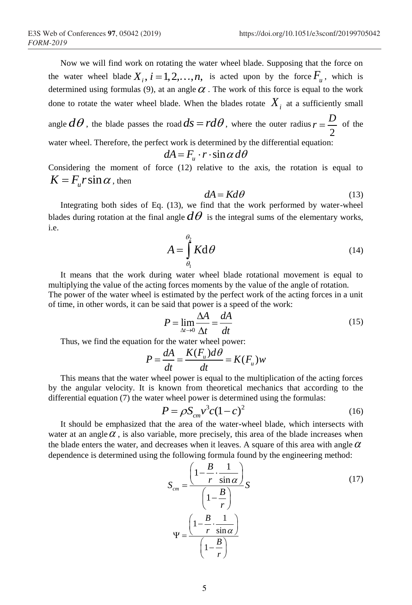Now we will find work on rotating the water wheel blade. Supposing that the force on the water wheel blade  $X_i$ ,  $i = 1, 2, ..., n$ , is acted upon by the force  $F_u$ , which is determined using formulas (9), at an angle  $\alpha$ . The work of this force is equal to the work done to rotate the water wheel blade. When the blades rotate  $X_i$  at a sufficiently small

angle  $d\theta$  , the blade passes the road  $ds$  =  $rd\theta$  , where the outer radius 2  $r = \frac{D}{2}$  of the

water wheel. Therefore, the perfect work is determined by the differential equation:<br>  $dA = F_u \cdot r \cdot \sin \alpha d\theta$ 

$$
dA = F_u \cdot r \cdot \sin \alpha \, d\theta
$$

Considering the moment of force (12) relative to the axis, the rotation is equal to  $K = F_u r \sin \alpha$ , then

$$
dA = K d\theta \tag{13}
$$

Integrating both sides of Eq. (13), we find that the work performed by water-wheel blades during rotation at the final angle  $d\theta$  is the integral sums of the elementary works, i.e.

$$
A = \int_{\theta_1}^{\theta_2} K \mathrm{d}\theta \tag{14}
$$

It means that the work during water wheel blade rotational movement is equal to multiplying the value of the acting forces moments by the value of the angle of rotation. The power of the water wheel is estimated by the perfect work of the acting forces in a unit of time, in other words, it can be said that power is a speed of the work:

$$
P = \lim_{\Delta t \to 0} \frac{\Delta A}{\Delta t} = \frac{dA}{dt}
$$
 (15)

Thus, we find the equation for the water wheel power:  
\n
$$
P = \frac{dA}{dt} = \frac{K(F_u)d\theta}{dt} = K(F_u)w
$$

This means that the water wheel power is equal to the multiplication of the acting forces by the angular velocity. It is known from theoretical mechanics that according to the differential equation (7) the water wheel power is determined using the formulas:

$$
P = \rho S_{cm} v^3 c (1 - c)^2
$$
 (16)

It should be emphasized that the area of the water-wheel blade, which intersects with water at an angle  $\alpha$ , is also variable, more precisely, this area of the blade increases when the blade enters the water, and decreases when it leaves. A square of this area with angle  $\alpha$ dependence is determined using the following formula found by the engineering method:

$$
S_{cm} = \frac{\left(1 - \frac{B}{r} \cdot \frac{1}{\sin \alpha}\right)}{\left(1 - \frac{B}{r}\right)} S
$$
(17)  

$$
\Psi = \frac{\left(1 - \frac{B}{r} \cdot \frac{1}{\sin \alpha}\right)}{\left(1 - \frac{B}{r}\right)}
$$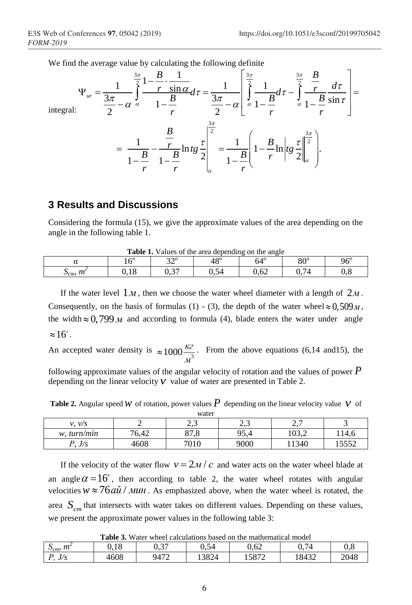We find the average value by calculating the following definite

We have for Conferences 97, 05042 (2019)  
\n
$$
\text{Itips://doi.org/10.1051/e3sconf/20199705042}
$$
\nWe find the average value by calculating the following definite  
\n
$$
\Psi_{ur} = \frac{1}{\frac{3\pi}{2} - \alpha} \int_{\alpha}^{\frac{3\pi}{2}} \frac{1 - \frac{B}{r} \cdot \frac{1}{\sin \alpha}}{1 - \frac{B}{r}} d\tau = \frac{1}{\frac{3\pi}{2} - \alpha} \left[ \int_{\alpha}^{\frac{3\pi}{2}} \frac{1}{1 - \frac{B}{r}} d\tau - \int_{\alpha}^{\frac{3\pi}{2}} \frac{1}{1 - \frac{B}{r}} \frac{d\tau}{\sin \tau} \right] =
$$
\nintegral:  
\n
$$
= \frac{1}{1 - \frac{B}{r}} - \frac{\frac{B}{r}}{1 - \frac{B}{r}} \ln t g \frac{\tau}{2} \Big|_{\alpha}^{\frac{3\pi}{2}} = \frac{1}{1 - \frac{B}{r}} \left( 1 - \frac{B}{r} \ln \left| t g \frac{\tau}{2} \right|_{\alpha}^{\frac{3\pi}{2}} \right).
$$

#### **3 Results and Discussions**

Considering the formula (15), we give the approximate values of the area depending on the angle in the following table 1.

| Table 1<br>Values of the area depending on the angle                        |       |              |            |      |  |     |  |
|-----------------------------------------------------------------------------|-------|--------------|------------|------|--|-----|--|
| $48^\circ$<br>200<br>o∩⊂<br>$-10$<br>96 $^{\rm c}$<br>$\sim$ ()<br>04<br>οu |       |              |            |      |  |     |  |
| <b>100</b><br>$^{\prime\prime}$<br>$\cup_{cm}$                              | v. 10 | $\sim$<br>ັ້ | ∍⊿<br>∪.∪∹ | 0,62 |  | v.c |  |

**Table 1.** Values of the area depending on the angle

If the water level  $1_M$ , then we choose the water wheel diameter with a length of  $2_M$ . Consequently, on the basis of formulas (1) - (3), the depth of the water wheel  $\approx 0.509M$ , the width  $\approx 0.799 M$  and according to formula (4), blade enters the water under angle  $\approx 16$ .

An accepted water density is  $\approx 1000 \frac{k^2}{v^3}$ *м*  $\approx 1000 \frac{\kappa c}{r^3}$ . From the above equations (6,14 and 15), the

following approximate values of the angular velocity of rotation and the values of power *P* depending on the linear velocity  $V$  value of water are presented in Table 2.

**Table 2.** Angular speed W of rotation, power values  $P$  depending on the linear velocity value V of water

| .                    |                         |                                    |                                            |                        |              |  |
|----------------------|-------------------------|------------------------------------|--------------------------------------------|------------------------|--------------|--|
| $\nu$ /s<br>1)       |                         | ົາ<br>ر د سه                       | $\overline{\phantom{0}}$<br>$\sim$<br>ر دے | -<br>⌒<br>$\sim \cdot$ |              |  |
| turn/min<br>w.       | $\Lambda$<br>−∼<br>0.42 | 07<br>$\circ$<br>$\circ$ . $\circ$ | 95,4                                       | 10J.Z                  | 114.6        |  |
| $\frac{1}{2}$<br>J/J | 4608                    | 7010<br>∵∪⊥∪                       | 9000                                       | 11340                  | 5550<br>1332 |  |

If the velocity of the water flow  $v = 2m/c$  and water acts on the water wheel blade at an angle  $\alpha = 16^{\degree}$ , then according to table 2, the water wheel rotates with angular velocities  $w \approx 76 a\tilde{u}$  / *MUH*. As emphasized above, when the water wheel is rotated, the area *Scm* that intersects with water takes on different values. Depending on these values, we present the approximate power values in the following table 3:

**Table 3.** Water wheel calculations based on the mathematical model

| $S_{cm}$ , $m^2$  | 1 O<br>v. 10 | $\sim$ $\sim$ $\sim$<br>ັັ | $\sim$ $\sim$<br>$\sim$<br>U.S4 | 0,62  | $\sim$<br>74<br>υ.    | $\sim$ $\sim$<br>v.o |
|-------------------|--------------|----------------------------|---------------------------------|-------|-----------------------|----------------------|
| $\sqrt{c}$<br>J/J | 4608         | 9472<br>∠<br>.             | 0.001<br>13824                  | 15872 | $1812^\circ$<br>10424 | 2048                 |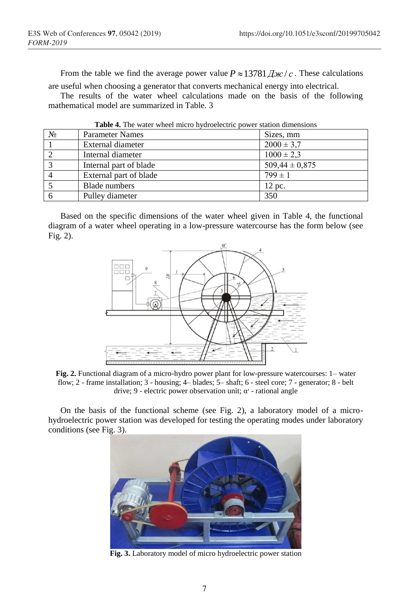From the table we find the average power value  $P \approx 13781 \frac{\pi}{c}$ . These calculations

are useful when choosing a generator that converts mechanical energy into electrical. The results of the water wheel calculations made on the basis of the following mathematical model are summarized in Table. 3

| <b>Table 4.</b> The water wheel initio hydroelectric power station dimensions |                        |                    |  |  |  |
|-------------------------------------------------------------------------------|------------------------|--------------------|--|--|--|
| $N_2$                                                                         | <b>Parameter Names</b> | Sizes, mm          |  |  |  |
|                                                                               | External diameter      | $2000 \pm 3.7$     |  |  |  |
|                                                                               | Internal diameter      | $1000 \pm 2.3$     |  |  |  |
|                                                                               | Internal part of blade | $509,44 \pm 0,875$ |  |  |  |
|                                                                               | External part of blade | $799 \pm 1$        |  |  |  |
|                                                                               | Blade numbers          | 12 pc.             |  |  |  |
|                                                                               | Pulley diameter        | 350                |  |  |  |

**Table 4.** The water wheel micro hydroelectric power station dimensions

Based on the specific dimensions of the water wheel given in Table 4, the functional diagram of a water wheel operating in a low-pressure watercourse has the form below (see Fig. 2).



**Fig. 2.** Functional diagram of a micro-hydro power plant for low-pressure watercourses: 1– water flow; 2 - frame installation; 3 - housing; 4– blades; 5– shaft; 6 - steel core; 7 - generator; 8 - belt drive; 9 - electric power observation unit; α׳ - rational angle

On the basis of the functional scheme (see Fig. 2), a laboratory model of a microhydroelectric power station was developed for testing the operating modes under laboratory conditions (see Fig. 3).



**Fig. 3.** Laboratory model of micro hydroelectric power station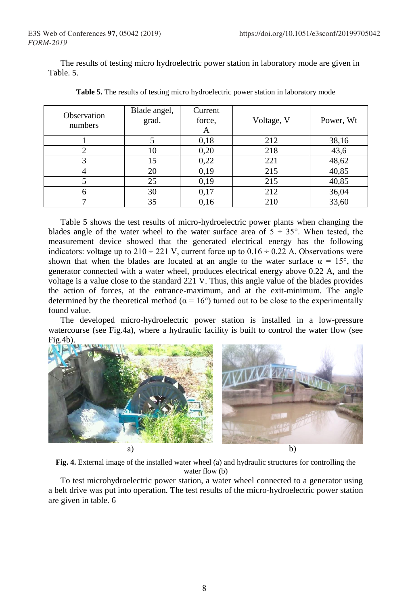The results of testing micro hydroelectric power station in laboratory mode are given in Table. 5.

| Observation<br>numbers | Blade angel,<br>grad. | Current<br>force,<br>A | Voltage, V | Power, Wt |
|------------------------|-----------------------|------------------------|------------|-----------|
|                        |                       | 0,18                   | 212        | 38,16     |
|                        | 10                    | 0,20                   | 218        | 43,6      |
|                        | 15                    | 0,22                   | 221        | 48,62     |
|                        | 20                    | 0,19                   | 215        | 40,85     |
|                        | 25                    | 0,19                   | 215        | 40,85     |
|                        | 30                    | 0,17                   | 212        | 36,04     |
|                        | 35                    | 0.16                   | 210        | 33,60     |

**Table 5.** The results of testing micro hydroelectric power station in laboratory mode

Table 5 shows the test results of micro-hydroelectric power plants when changing the blades angle of the water wheel to the water surface area of  $5 \div 35^{\circ}$ . When tested, the measurement device showed that the generated electrical energy has the following indicators: voltage up to  $210 \div 221$  V, current force up to  $0.16 \div 0.22$  A. Observations were shown that when the blades are located at an angle to the water surface  $\alpha = 15^{\circ}$ , the generator connected with a water wheel, produces electrical energy above 0.22 A, and the voltage is a value close to the standard 221 V. Thus, this angle value of the blades provides the action of forces, at the entrance-maximum, and at the exit-minimum. The angle determined by the theoretical method ( $\alpha = 16^{\circ}$ ) turned out to be close to the experimentally found value.

The developed micro-hydroelectric power station is installed in a low-pressure watercourse (see Fig.4a), where a hydraulic facility is built to control the water flow (see Fig.4b).



**Fig. 4.** External image of the installed water wheel (a) and hydraulic structures for controlling the water flow (b)

To test microhydroelectric power station, a water wheel connected to a generator using a belt drive was put into operation. The test results of the micro-hydroelectric power station are given in table. 6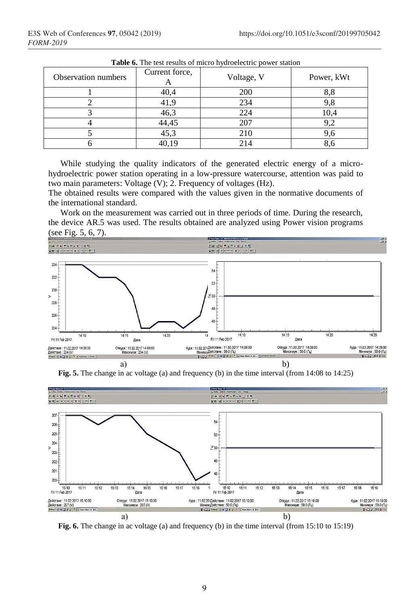| <b>Thore</b> of the test results of finers hydrocreative power station |                |            |            |  |  |
|------------------------------------------------------------------------|----------------|------------|------------|--|--|
| Observation numbers                                                    | Current force, | Voltage, V | Power, kWt |  |  |
|                                                                        | 40,4           | 200        | 8,8        |  |  |
|                                                                        | 41.9           | 234        | 9.8        |  |  |
|                                                                        | 46,3           | 224        | 10,4       |  |  |
|                                                                        | 44,45          | 207        | 9,2        |  |  |
|                                                                        | 45.3           | 210        | 9.6        |  |  |
|                                                                        | 40,19          | 214        | 8.6        |  |  |

**Table 6.** The test results of micro hydroelectric power station

While studying the quality indicators of the generated electric energy of a microhydroelectric power station operating in a low-pressure watercourse, attention was paid to two main parameters: Voltage (V); 2. Frequency of voltages (Hz).

The obtained results were compared with the values given in the normative documents of the international standard.

Work on the measurement was carried out in three periods of time. During the research, the device AR.5 was used. The results obtained are analyzed using Power vision programs (see Fig. 5, 6, 7).



**Fig. 5.** The change in ac voltage (a) and frequency (b) in the time interval (from 14:08 to 14:25)



**Fig. 6.** The change in ac voltage (a) and frequency (b) in the time interval (from 15:10 to 15:19)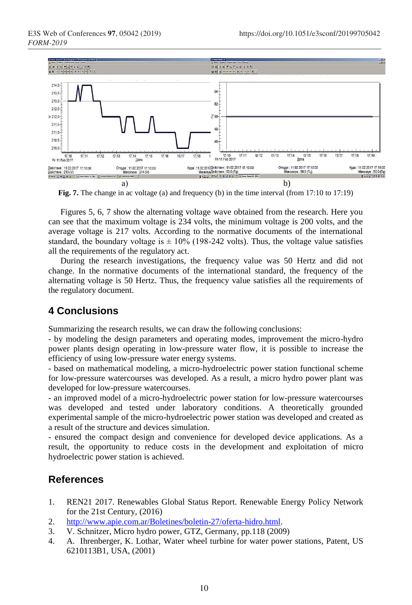

**Fig. 7.** The change in ac voltage (a) and frequency (b) in the time interval (from 17:10 to 17:19)

Figures 5, 6, 7 show the alternating voltage wave obtained from the research. Here you can see that the maximum voltage is 234 volts, the minimum voltage is 200 volts, and the average voltage is 217 volts. According to the normative documents of the international standard, the boundary voltage is  $\pm$  10% (198-242 volts). Thus, the voltage value satisfies all the requirements of the regulatory act.

During the research investigations, the frequency value was 50 Hertz and did not change. In the normative documents of the international standard, the frequency of the alternating voltage is 50 Hertz. Thus, the frequency value satisfies all the requirements of the regulatory document.

## **4 Conclusions**

Summarizing the research results, we can draw the following conclusions:

- by modeling the design parameters and operating modes, improvement the micro-hydro power plants design operating in low-pressure water flow, it is possible to increase the efficiency of using low-pressure water energy systems.

- based on mathematical modeling, a micro-hydroelectric power station functional scheme for low-pressure watercourses was developed. As a result, a micro hydro power plant was developed for low-pressure watercourses.

- an improved model of a micro-hydroelectric power station for low-pressure watercourses was developed and tested under laboratory conditions. A theoretically grounded experimental sample of the micro-hydroelectric power station was developed and created as a result of the structure and devices simulation.

- ensured the compact design and convenience for developed device applications. As a result, the opportunity to reduce costs in the development and exploitation of micro hydroelectric power station is achieved.

### **References**

- 1. REN21 2017. Renewables Global Status Report. Renewable Energy Policy Network for the 21st Century, (2016)
- 2. [http://www.apie.com.ar/Boletines/boletin-27/oferta-hidro.html.](http://www.apie.com.ar/Boletines/boletin-27/oferta-hidro.html)
- 3. V. Schnitzer, Micro hydro power, GTZ, Germany, pp.118 (2009)
- 4. A. Ihrenberger, K. Lothar, Water wheel turbine for water power stations, Patent, US 6210113B1, USA, (2001)